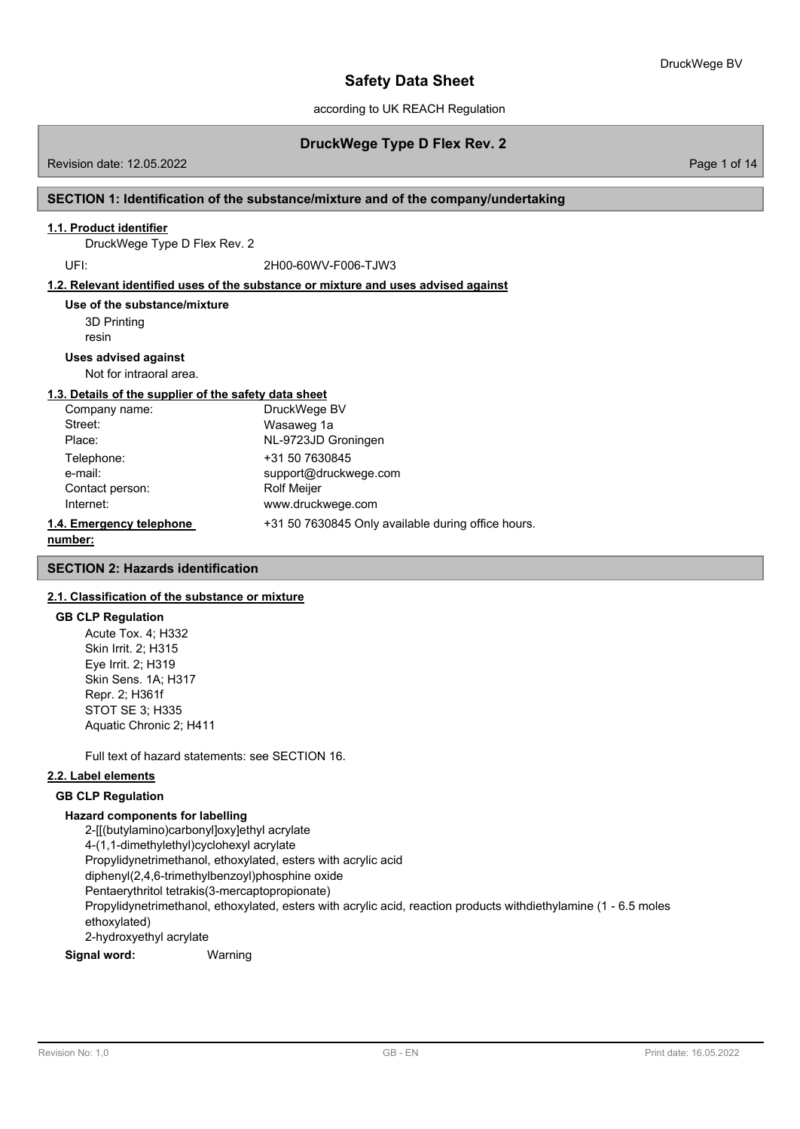according to UK REACH Regulation

## **DruckWege Type D Flex Rev. 2**

Revision date: 12.05.2022 Page 1 of 14

### **SECTION 1: Identification of the substance/mixture and of the company/undertaking**

### **1.1. Product identifier**

DruckWege Type D Flex Rev. 2

UFI: 2H00-60WV-F006-TJW3

#### **1.2. Relevant identified uses of the substance or mixture and uses advised against**

3D Printing resin **Use of the substance/mixture**

#### **Uses advised against**

Not for intraoral area.

### **1.3. Details of the supplier of the safety data sheet**

| Company name:            | DruckWege BV                                       |
|--------------------------|----------------------------------------------------|
| Street:                  | Wasaweg 1a                                         |
| Place:                   | NL-9723JD Groningen                                |
| Telephone:               | +31 50 7630845                                     |
| e-mail:                  | support@druckwege.com                              |
| Contact person:          | <b>Rolf Meijer</b>                                 |
| Internet:                | www.druckwege.com                                  |
| 1.4. Emergency telephone | +31 50 7630845 Only available during office hours. |
|                          |                                                    |

#### **number:**

#### **SECTION 2: Hazards identification**

### **2.1. Classification of the substance or mixture**

#### **GB CLP Regulation**

Acute Tox. 4; H332 Skin Irrit. 2; H315 Eye Irrit. 2; H319 Skin Sens. 1A; H317 Repr. 2; H361f STOT SE 3; H335 Aquatic Chronic 2; H411

Full text of hazard statements: see SECTION 16.

#### **2.2. Label elements**

### **GB CLP Regulation**

#### **Hazard components for labelling**

2-[[(butylamino)carbonyl]oxy]ethyl acrylate 4-(1,1-dimethylethyl)cyclohexyl acrylate Propylidynetrimethanol, ethoxylated, esters with acrylic acid diphenyl(2,4,6-trimethylbenzoyl)phosphine oxide Pentaerythritol tetrakis(3-mercaptopropionate) Propylidynetrimethanol, ethoxylated, esters with acrylic acid, reaction products withdiethylamine (1 - 6.5 moles ethoxylated) 2-hydroxyethyl acrylate

#### **Signal word:** Warning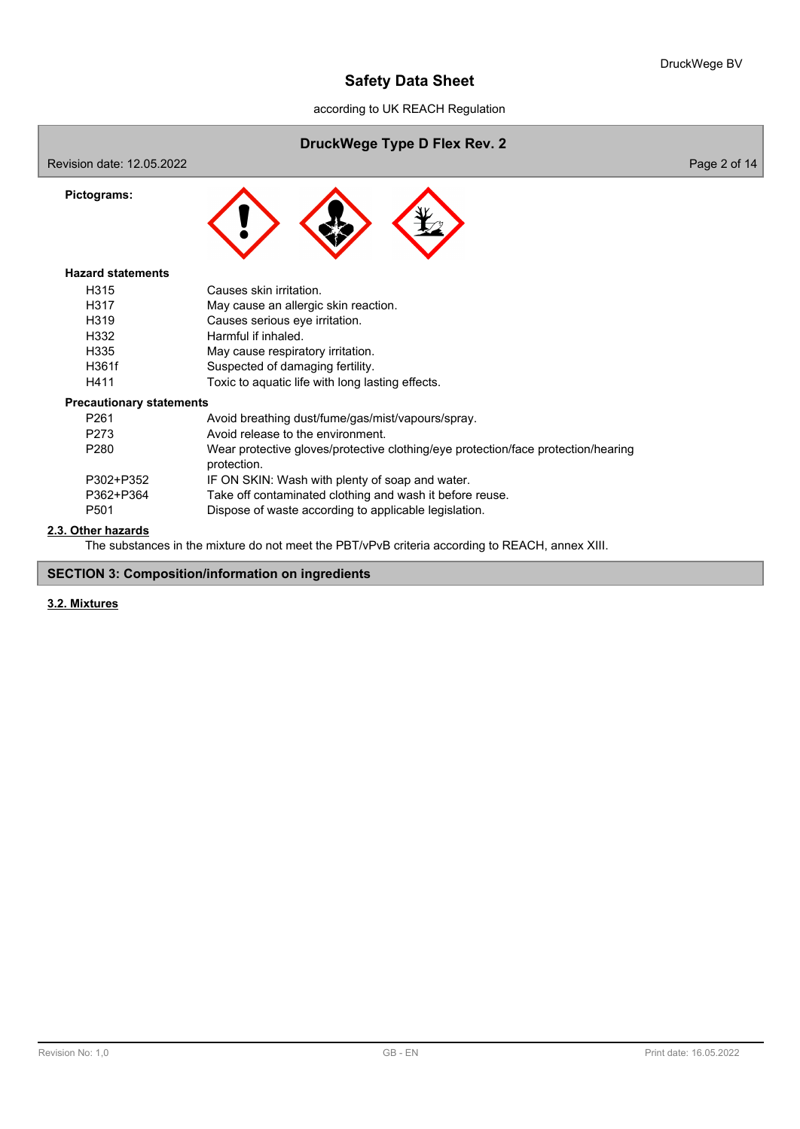according to UK REACH Regulation

## **DruckWege Type D Flex Rev. 2**

Revision date: 12.05.2022 **Page 2 of 14** 



### **Hazard statements**

**Pictograms:**

| H <sub>315</sub>  | Causes skin irritation.                          |
|-------------------|--------------------------------------------------|
| H317              | May cause an allergic skin reaction.             |
| H <sub>3</sub> 19 | Causes serious eye irritation.                   |
| H332              | Harmful if inhaled.                              |
| H335              | May cause respiratory irritation.                |
| H361f             | Suspected of damaging fertility.                 |
| H411              | Toxic to aquatic life with long lasting effects. |

#### **Precautionary statements**

| P <sub>261</sub> | Avoid breathing dust/fume/gas/mist/vapours/spray.                                                |
|------------------|--------------------------------------------------------------------------------------------------|
| P273             | Avoid release to the environment.                                                                |
| P <sub>280</sub> | Wear protective gloves/protective clothing/eye protection/face protection/hearing<br>protection. |
| P302+P352        | IF ON SKIN: Wash with plenty of soap and water.                                                  |
| P362+P364        | Take off contaminated clothing and wash it before reuse.                                         |
| P <sub>501</sub> | Dispose of waste according to applicable legislation.                                            |

## **2.3. Other hazards**

The substances in the mixture do not meet the PBT/vPvB criteria according to REACH, annex XIII.

## **SECTION 3: Composition/information on ingredients**

## **3.2. Mixtures**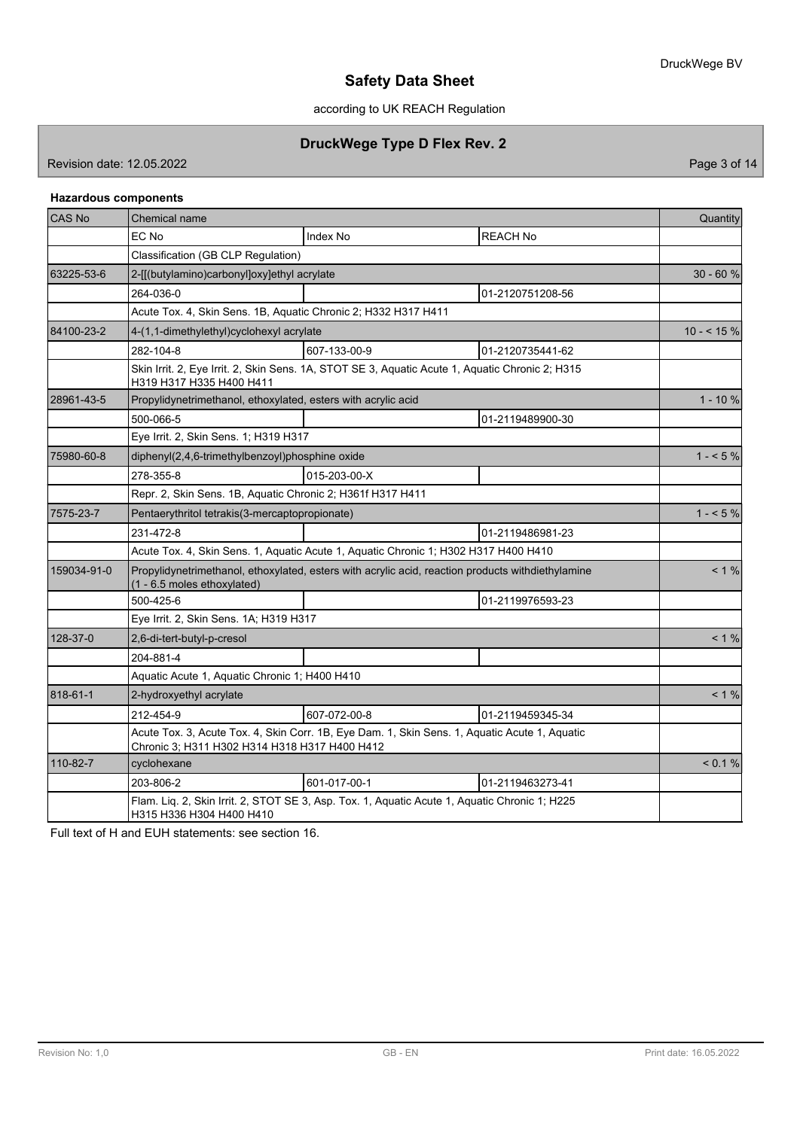according to UK REACH Regulation

## **DruckWege Type D Flex Rev. 2**

Revision date: 12.05.2022 **Page 3 of 14** 

## **Hazardous components**

| CAS No      | <b>Chemical name</b>                                                                                                                           |                                                                                                 |                  |             |  |
|-------------|------------------------------------------------------------------------------------------------------------------------------------------------|-------------------------------------------------------------------------------------------------|------------------|-------------|--|
|             | EC No                                                                                                                                          | <b>Index No</b>                                                                                 | <b>REACH No</b>  |             |  |
|             | Classification (GB CLP Regulation)                                                                                                             |                                                                                                 |                  |             |  |
| 63225-53-6  | 2-[[(butylamino)carbonyl]oxy]ethyl acrylate                                                                                                    |                                                                                                 |                  | $30 - 60%$  |  |
|             | 264-036-0                                                                                                                                      |                                                                                                 | 01-2120751208-56 |             |  |
|             | Acute Tox. 4, Skin Sens. 1B, Aquatic Chronic 2; H332 H317 H411                                                                                 |                                                                                                 |                  |             |  |
| 84100-23-2  | 4-(1,1-dimethylethyl)cyclohexyl acrylate                                                                                                       |                                                                                                 |                  | $10 - 5 \%$ |  |
|             | 282-104-8                                                                                                                                      | 607-133-00-9                                                                                    | 01-2120735441-62 |             |  |
|             | H319 H317 H335 H400 H411                                                                                                                       | Skin Irrit. 2, Eye Irrit. 2, Skin Sens. 1A, STOT SE 3, Aquatic Acute 1, Aquatic Chronic 2; H315 |                  |             |  |
| 28961-43-5  | Propylidynetrimethanol, ethoxylated, esters with acrylic acid                                                                                  |                                                                                                 |                  | $1 - 10%$   |  |
|             | 500-066-5                                                                                                                                      |                                                                                                 | 01-2119489900-30 |             |  |
|             | Eye Irrit. 2, Skin Sens. 1; H319 H317                                                                                                          |                                                                                                 |                  |             |  |
| 75980-60-8  | diphenyl(2,4,6-trimethylbenzoyl)phosphine oxide                                                                                                |                                                                                                 | $1 - 5\%$        |             |  |
|             | 278-355-8                                                                                                                                      | 015-203-00-X                                                                                    |                  |             |  |
|             | Repr. 2, Skin Sens. 1B, Aquatic Chronic 2; H361f H317 H411                                                                                     |                                                                                                 |                  |             |  |
| 7575-23-7   | Pentaerythritol tetrakis(3-mercaptopropionate)                                                                                                 |                                                                                                 | $1 - 5\%$        |             |  |
|             | 231-472-8                                                                                                                                      |                                                                                                 | 01-2119486981-23 |             |  |
|             | Acute Tox. 4, Skin Sens. 1, Aquatic Acute 1, Aquatic Chronic 1; H302 H317 H400 H410                                                            |                                                                                                 |                  |             |  |
| 159034-91-0 | Propylidynetrimethanol, ethoxylated, esters with acrylic acid, reaction products withdiethylamine<br>(1 - 6.5 moles ethoxylated)               | $< 1 \%$                                                                                        |                  |             |  |
|             | 500-425-6                                                                                                                                      |                                                                                                 | 01-2119976593-23 |             |  |
|             | Eye Irrit. 2, Skin Sens. 1A; H319 H317                                                                                                         |                                                                                                 |                  |             |  |
| 128-37-0    | 2,6-di-tert-butyl-p-cresol                                                                                                                     | $< 1 \%$                                                                                        |                  |             |  |
|             | 204-881-4                                                                                                                                      |                                                                                                 |                  |             |  |
|             | Aquatic Acute 1, Aquatic Chronic 1; H400 H410                                                                                                  |                                                                                                 |                  |             |  |
| 818-61-1    | 2-hydroxyethyl acrylate                                                                                                                        |                                                                                                 |                  | $< 1\%$     |  |
|             | 212-454-9                                                                                                                                      | 607-072-00-8                                                                                    | 01-2119459345-34 |             |  |
|             | Acute Tox. 3, Acute Tox. 4, Skin Corr. 1B, Eye Dam. 1, Skin Sens. 1, Aquatic Acute 1, Aquatic<br>Chronic 3; H311 H302 H314 H318 H317 H400 H412 |                                                                                                 |                  |             |  |
| 110-82-7    | cyclohexane                                                                                                                                    |                                                                                                 |                  | < 0.1 %     |  |
|             | 203-806-2                                                                                                                                      | 601-017-00-1                                                                                    | 01-2119463273-41 |             |  |
|             | Flam. Liq. 2, Skin Irrit. 2, STOT SE 3, Asp. Tox. 1, Aquatic Acute 1, Aquatic Chronic 1; H225<br>H315 H336 H304 H400 H410                      |                                                                                                 |                  |             |  |

Full text of H and EUH statements: see section 16.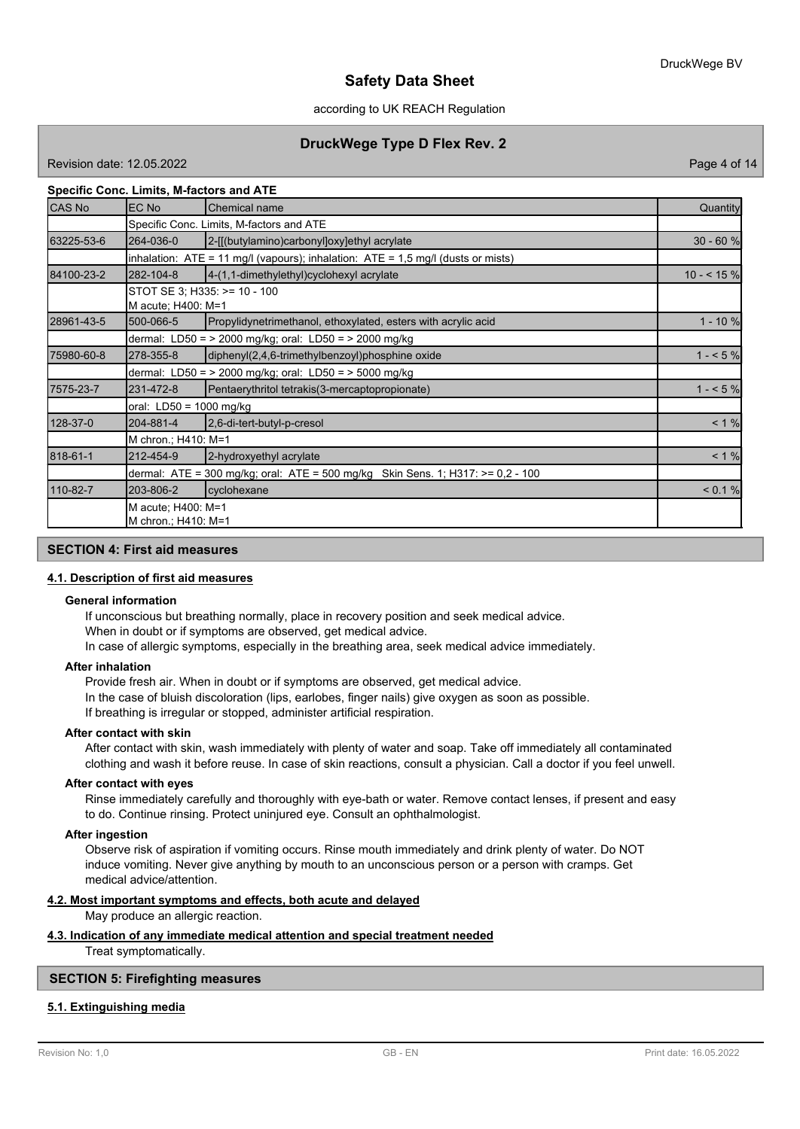### according to UK REACH Regulation

## **DruckWege Type D Flex Rev. 2**

Revision date: 12.05.2022 Page 4 of 14

### **Specific Conc. Limits, M-factors and ATE**

| <b>CAS No</b> | EC No                                                                           | Chemical name                                                                        | Quantity    |  |  |
|---------------|---------------------------------------------------------------------------------|--------------------------------------------------------------------------------------|-------------|--|--|
|               |                                                                                 | Specific Conc. Limits, M-factors and ATE                                             |             |  |  |
| 63225-53-6    | 264-036-0                                                                       | 2-[[(butylamino)carbonyl]oxy]ethyl acrylate                                          | $30 - 60 %$ |  |  |
|               |                                                                                 | inhalation: $ATE = 11$ mg/l (vapours); inhalation: $ATE = 1.5$ mg/l (dusts or mists) |             |  |  |
| 84100-23-2    | 282-104-8                                                                       | $[4-(1, 1-dimethylethyl)$ cyclohexyl acrylate                                        | $10 - 55%$  |  |  |
|               | M acute; H400: M=1                                                              | STOT SE 3; H335: >= 10 - 100                                                         |             |  |  |
| 28961-43-5    | 500-066-5                                                                       | Propylidynetrimethanol, ethoxylated, esters with acrylic acid                        | $1 - 10 %$  |  |  |
|               | dermal: LD50 = $>$ 2000 mg/kg; oral: LD50 = $>$ 2000 mg/kg                      |                                                                                      |             |  |  |
| 75980-60-8    | 278-355-8                                                                       | diphenyl(2,4,6-trimethylbenzoyl)phosphine oxide                                      | $1 - 5%$    |  |  |
|               | dermal: LD50 = $>$ 2000 mg/kg; oral: LD50 = $>$ 5000 mg/kg                      |                                                                                      |             |  |  |
| 7575-23-7     | 231-472-8                                                                       | Pentaerythritol tetrakis(3-mercaptopropionate)                                       | $1 - 5\%$   |  |  |
|               | oral: LD50 = 1000 mg/kg                                                         |                                                                                      |             |  |  |
| 128-37-0      | 204-881-4                                                                       | 2,6-di-tert-butyl-p-cresol                                                           | < 1 %       |  |  |
|               | M chron.; H410: M=1                                                             |                                                                                      |             |  |  |
| 818-61-1      | 212-454-9                                                                       | 2-hydroxyethyl acrylate                                                              | < 1 %       |  |  |
|               | dermal: ATE = 300 mg/kg; oral: ATE = 500 mg/kg Skin Sens. 1; H317: >= 0,2 - 100 |                                                                                      |             |  |  |
| 110-82-7      | 203-806-2                                                                       | cyclohexane                                                                          | < 0.1 %     |  |  |
|               | M acute; H400: M=1<br>M chron: H410: M=1                                        |                                                                                      |             |  |  |

### **SECTION 4: First aid measures**

#### **4.1. Description of first aid measures**

#### **General information**

If unconscious but breathing normally, place in recovery position and seek medical advice.

When in doubt or if symptoms are observed, get medical advice. In case of allergic symptoms, especially in the breathing area, seek medical advice immediately.

#### **After inhalation**

Provide fresh air. When in doubt or if symptoms are observed, get medical advice. In the case of bluish discoloration (lips, earlobes, finger nails) give oxygen as soon as possible. If breathing is irregular or stopped, administer artificial respiration.

#### **After contact with skin**

After contact with skin, wash immediately with plenty of water and soap. Take off immediately all contaminated clothing and wash it before reuse. In case of skin reactions, consult a physician. Call a doctor if you feel unwell.

#### **After contact with eyes**

Rinse immediately carefully and thoroughly with eye-bath or water. Remove contact lenses, if present and easy to do. Continue rinsing. Protect uninjured eye. Consult an ophthalmologist.

#### **After ingestion**

Observe risk of aspiration if vomiting occurs. Rinse mouth immediately and drink plenty of water. Do NOT induce vomiting. Never give anything by mouth to an unconscious person or a person with cramps. Get medical advice/attention.

#### **4.2. Most important symptoms and effects, both acute and delayed**

May produce an allergic reaction.

## **4.3. Indication of any immediate medical attention and special treatment needed**

Treat symptomatically.

### **SECTION 5: Firefighting measures**

### **5.1. Extinguishing media**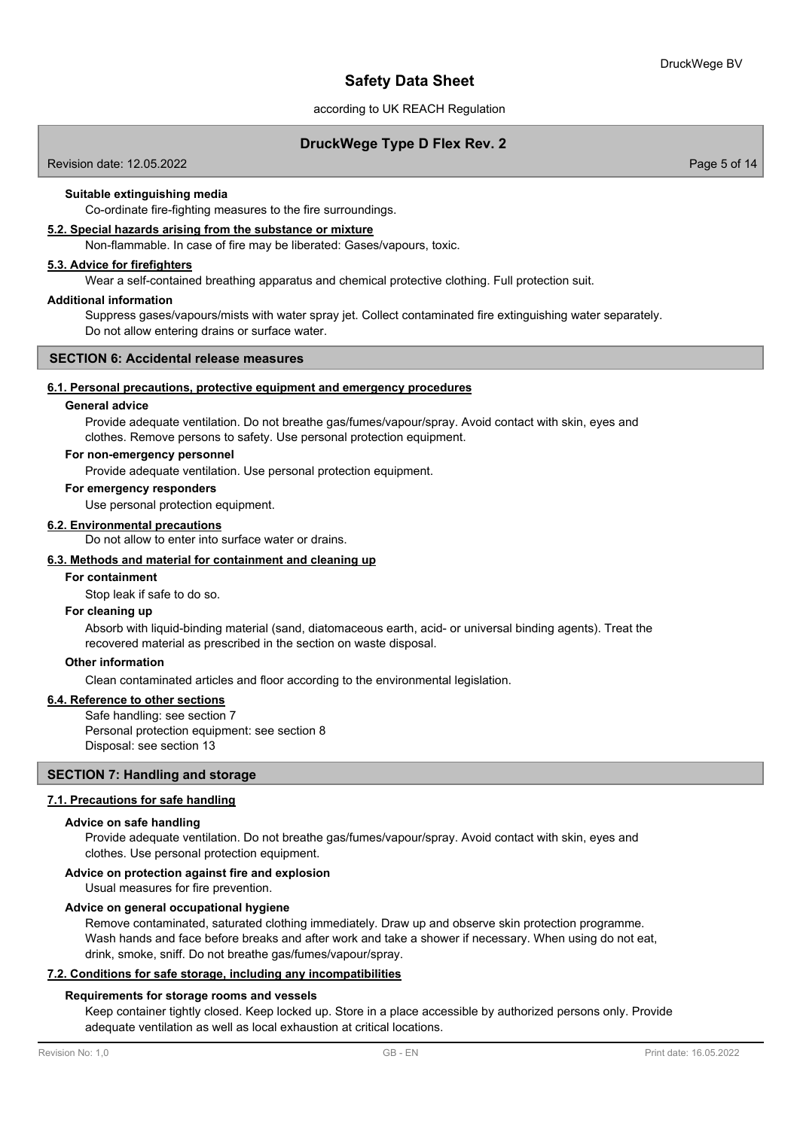according to UK REACH Regulation

## **DruckWege Type D Flex Rev. 2**

Revision date: 12.05.2022 Page 5 of 14

### **Suitable extinguishing media**

Co-ordinate fire-fighting measures to the fire surroundings.

#### **5.2. Special hazards arising from the substance or mixture**

Non-flammable. In case of fire may be liberated: Gases/vapours, toxic.

### **5.3. Advice for firefighters**

Wear a self-contained breathing apparatus and chemical protective clothing. Full protection suit.

#### **Additional information**

Suppress gases/vapours/mists with water spray jet. Collect contaminated fire extinguishing water separately. Do not allow entering drains or surface water.

#### **SECTION 6: Accidental release measures**

#### **6.1. Personal precautions, protective equipment and emergency procedures**

#### **General advice**

Provide adequate ventilation. Do not breathe gas/fumes/vapour/spray. Avoid contact with skin, eyes and clothes. Remove persons to safety. Use personal protection equipment.

#### **For non-emergency personnel**

Provide adequate ventilation. Use personal protection equipment.

#### **For emergency responders**

Use personal protection equipment.

#### **6.2. Environmental precautions**

Do not allow to enter into surface water or drains.

#### **6.3. Methods and material for containment and cleaning up**

### **For containment**

Stop leak if safe to do so.

#### **For cleaning up**

Absorb with liquid-binding material (sand, diatomaceous earth, acid- or universal binding agents). Treat the recovered material as prescribed in the section on waste disposal.

#### **Other information**

Clean contaminated articles and floor according to the environmental legislation.

## **6.4. Reference to other sections**

Safe handling: see section 7 Personal protection equipment: see section 8 Disposal: see section 13

## **SECTION 7: Handling and storage**

#### **7.1. Precautions for safe handling**

#### **Advice on safe handling**

Provide adequate ventilation. Do not breathe gas/fumes/vapour/spray. Avoid contact with skin, eyes and clothes. Use personal protection equipment.

#### **Advice on protection against fire and explosion**

Usual measures for fire prevention.

#### **Advice on general occupational hygiene**

Remove contaminated, saturated clothing immediately. Draw up and observe skin protection programme. Wash hands and face before breaks and after work and take a shower if necessary. When using do not eat, drink, smoke, sniff. Do not breathe gas/fumes/vapour/spray.

#### **7.2. Conditions for safe storage, including any incompatibilities**

#### **Requirements for storage rooms and vessels**

Keep container tightly closed. Keep locked up. Store in a place accessible by authorized persons only. Provide adequate ventilation as well as local exhaustion at critical locations.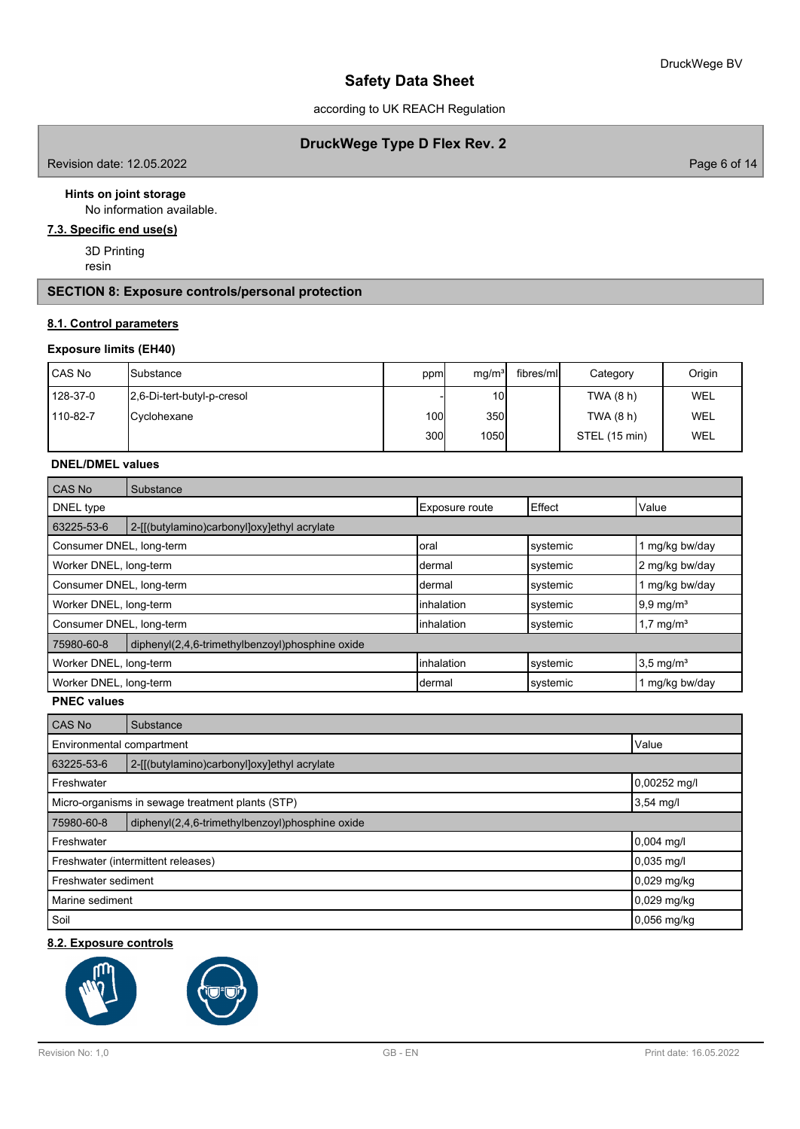according to UK REACH Regulation

## **DruckWege Type D Flex Rev. 2**

Revision date: 12.05.2022 **Page 6 of 14** 

### **Hints on joint storage**

No information available.

# **7.3. Specific end use(s)**

3D Printing resin

### **SECTION 8: Exposure controls/personal protection**

### **8.1. Control parameters**

### **Exposure limits (EH40)**

| l CAS No | ISubstance                 | ppm  | mq/m <sup>3</sup> | fibres/ml | Category      | Origin |
|----------|----------------------------|------|-------------------|-----------|---------------|--------|
| 128-37-0 | 2,6-Di-tert-butyl-p-cresol |      | 10 <sup>1</sup>   |           | TWA $(8 h)$   | WEL    |
| 110-82-7 | Cyclohexane                | 100I | 350l              |           | TWA (8 h)     | WEL    |
|          |                            | 300l | 1050              |           | STEL (15 min) | WEL    |

## **DNEL/DMEL values**

| <b>CAS No</b>            | Substance                                       |                |          |                         |  |  |  |  |  |
|--------------------------|-------------------------------------------------|----------------|----------|-------------------------|--|--|--|--|--|
| DNEL type                |                                                 | Exposure route | Effect   | Value                   |  |  |  |  |  |
| 63225-53-6               | 2-[[(butylamino)carbonyl]oxy]ethyl acrylate     |                |          |                         |  |  |  |  |  |
| Consumer DNEL, long-term |                                                 | Ioral          | systemic | 1 mg/kg bw/day          |  |  |  |  |  |
| Worker DNEL, long-term   |                                                 | Idermal        | systemic | 2 mg/kg bw/day          |  |  |  |  |  |
| Consumer DNEL, long-term |                                                 | Idermal        | systemic | 1 mg/kg bw/day          |  |  |  |  |  |
| Worker DNEL, long-term   |                                                 | linhalation    | systemic | $9.9 \text{ mg/m}^3$    |  |  |  |  |  |
| Consumer DNEL, long-term |                                                 | linhalation    | systemic | $1,7$ mg/m <sup>3</sup> |  |  |  |  |  |
| 75980-60-8               | diphenyl(2,4,6-trimethylbenzoyl)phosphine oxide |                |          |                         |  |  |  |  |  |
| Worker DNEL, long-term   |                                                 | linhalation    | systemic | $3.5 \text{ mg/m}^3$    |  |  |  |  |  |
| Worker DNEL, long-term   |                                                 | Idermal        | systemic | 1 mg/kg bw/day          |  |  |  |  |  |

**PNEC values**

| <b>CAS No</b>                                                   | Substance                                       |               |  |  |  |
|-----------------------------------------------------------------|-------------------------------------------------|---------------|--|--|--|
|                                                                 | Value<br>Environmental compartment              |               |  |  |  |
| 63225-53-6                                                      | 2-[[(butylamino)carbonyl]oxy]ethyl acrylate     |               |  |  |  |
| Freshwater                                                      |                                                 | 0.00252 mg/l  |  |  |  |
| Micro-organisms in sewage treatment plants (STP)<br>$3,54$ mg/l |                                                 |               |  |  |  |
| 75980-60-8                                                      | diphenyl(2,4,6-trimethylbenzoyl)phosphine oxide |               |  |  |  |
| 0,004 mg/l<br>Freshwater                                        |                                                 |               |  |  |  |
| Freshwater (intermittent releases)                              | $0,035$ mg/l                                    |               |  |  |  |
| Freshwater sediment                                             |                                                 | 0,029 mg/kg   |  |  |  |
| Marine sediment                                                 |                                                 | 0,029 mg/kg   |  |  |  |
| Soil                                                            |                                                 | $0,056$ mg/kg |  |  |  |

## **8.2. Exposure controls**

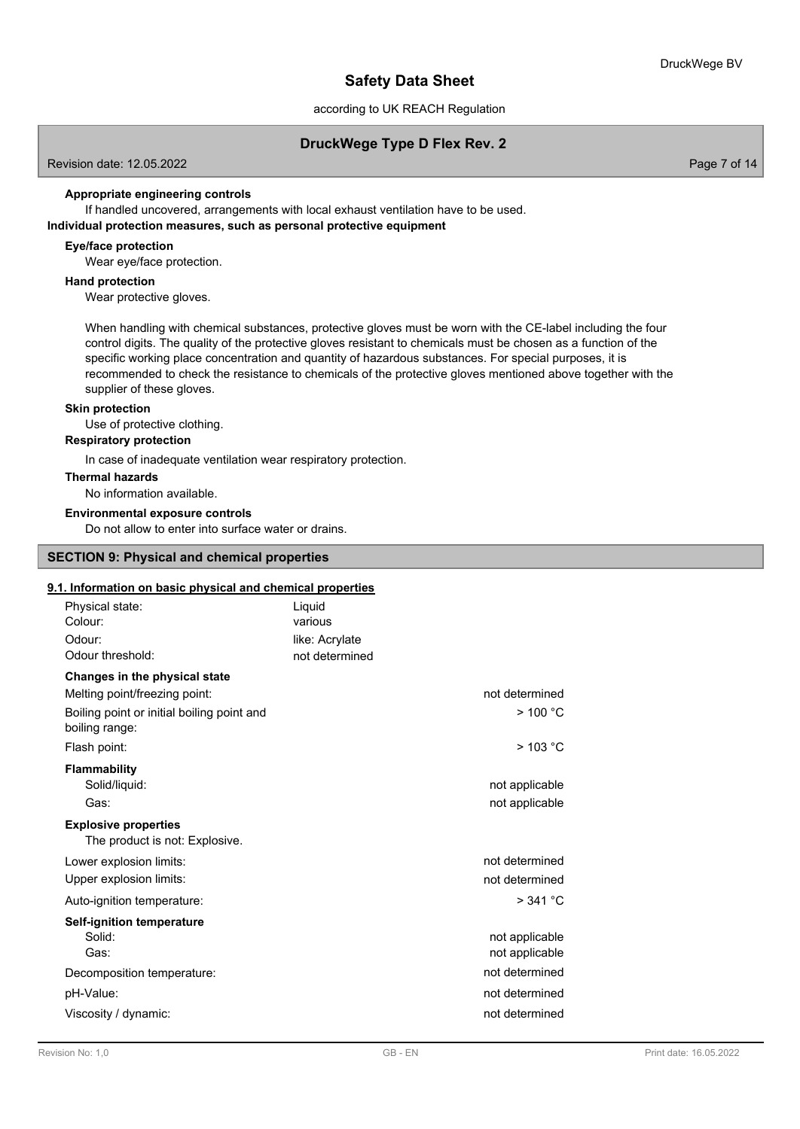### according to UK REACH Regulation

## **DruckWege Type D Flex Rev. 2**

Revision date: 12.05.2022 Page 7 of 14

### **Appropriate engineering controls**

If handled uncovered, arrangements with local exhaust ventilation have to be used. **Individual protection measures, such as personal protective equipment**

### **Eye/face protection**

Wear eye/face protection.

### **Hand protection**

Wear protective gloves.

When handling with chemical substances, protective gloves must be worn with the CE-label including the four control digits. The quality of the protective gloves resistant to chemicals must be chosen as a function of the specific working place concentration and quantity of hazardous substances. For special purposes, it is recommended to check the resistance to chemicals of the protective gloves mentioned above together with the supplier of these gloves.

### **Skin protection**

Use of protective clothing.

## **Respiratory protection**

In case of inadequate ventilation wear respiratory protection.

#### **Thermal hazards**

No information available.

#### **Environmental exposure controls**

Do not allow to enter into surface water or drains.

### **SECTION 9: Physical and chemical properties**

### **9.1. Information on basic physical and chemical properties**

| Physical state:<br>Colour:                                    | Liquid<br>various |                |
|---------------------------------------------------------------|-------------------|----------------|
|                                                               |                   |                |
| Odour:                                                        | like: Acrylate    |                |
| Odour threshold:                                              | not determined    |                |
| Changes in the physical state                                 |                   |                |
| Melting point/freezing point:                                 |                   | not determined |
| Boiling point or initial boiling point and<br>boiling range:  |                   | $>$ 100 °C     |
| Flash point:                                                  |                   | $>$ 103 °C     |
| Flammability                                                  |                   |                |
| Solid/liquid:                                                 |                   | not applicable |
| Gas:                                                          |                   | not applicable |
| <b>Explosive properties</b><br>The product is not: Explosive. |                   |                |
| Lower explosion limits:                                       |                   | not determined |
| Upper explosion limits:                                       |                   | not determined |
| Auto-ignition temperature:                                    |                   | > 341 °C       |
| <b>Self-ignition temperature</b>                              |                   |                |
| Solid:                                                        |                   | not applicable |
| Gas:                                                          |                   | not applicable |
| Decomposition temperature:                                    |                   | not determined |
| pH-Value:                                                     |                   | not determined |
| Viscosity / dynamic:                                          |                   | not determined |
|                                                               |                   |                |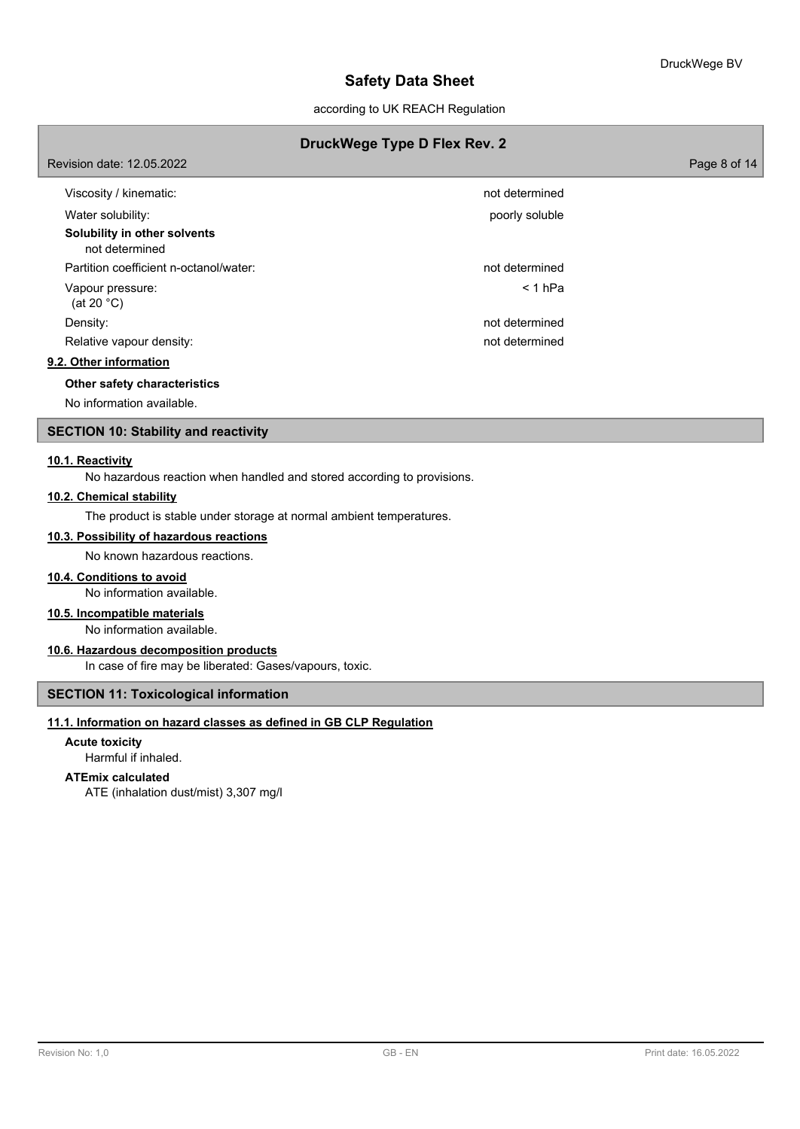according to UK REACH Regulation

## **DruckWege Type D Flex Rev. 2**

| Revision date: 12.05.2022                      |                | Page 8 of 14 |
|------------------------------------------------|----------------|--------------|
| Viscosity / kinematic:                         | not determined |              |
| Water solubility:                              | poorly soluble |              |
| Solubility in other solvents<br>not determined |                |              |
| Partition coefficient n-octanol/water:         | not determined |              |
| Vapour pressure:<br>(at 20 $^{\circ}$ C)       | $< 1$ hPa      |              |
| Density:                                       | not determined |              |
| Relative vapour density:                       | not determined |              |
| 9.2. Other information                         |                |              |
| Other safety characteristics                   |                |              |

No information available.

### **SECTION 10: Stability and reactivity**

#### **10.1. Reactivity**

No hazardous reaction when handled and stored according to provisions.

#### **10.2. Chemical stability**

The product is stable under storage at normal ambient temperatures.

### **10.3. Possibility of hazardous reactions**

No known hazardous reactions.

### **10.4. Conditions to avoid**

No information available.

### **10.5. Incompatible materials**

No information available.

### **10.6. Hazardous decomposition products**

In case of fire may be liberated: Gases/vapours, toxic.

## **SECTION 11: Toxicological information**

### **11.1. Information on hazard classes as defined in GB CLP Regulation**

### **Acute toxicity**

Harmful if inhaled.

### **ATEmix calculated**

ATE (inhalation dust/mist) 3,307 mg/l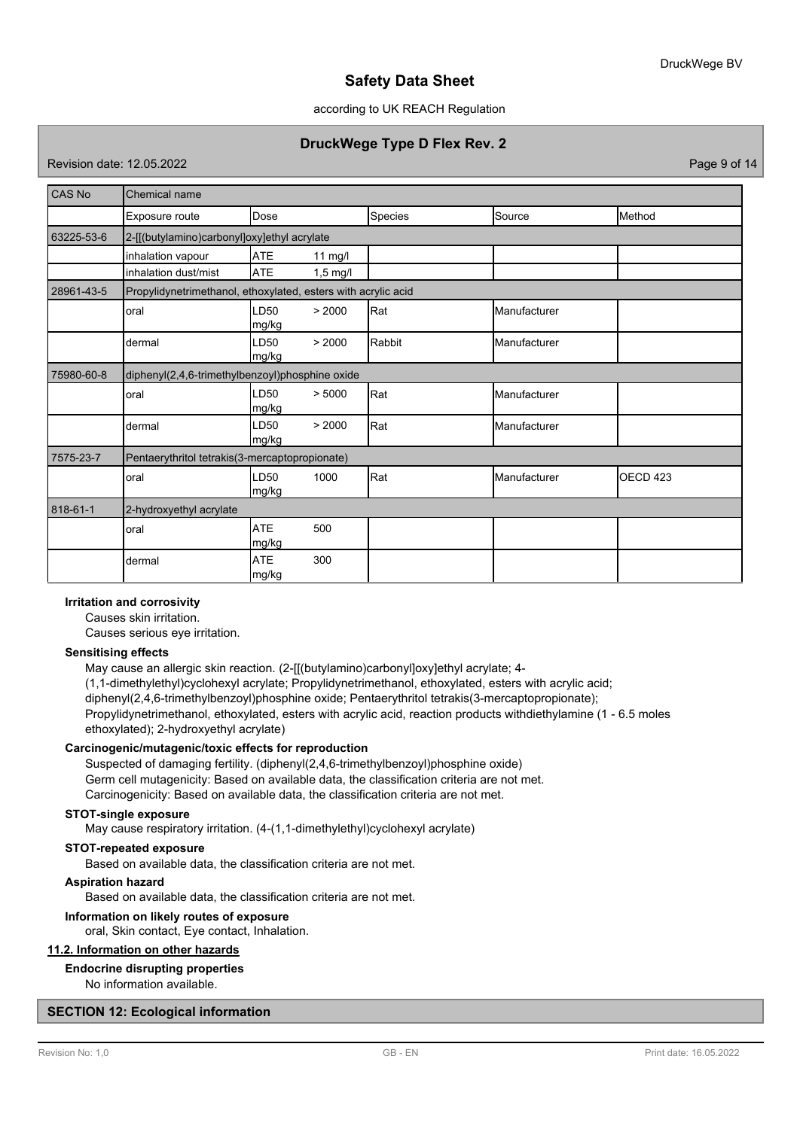### according to UK REACH Regulation

## **DruckWege Type D Flex Rev. 2**

Revision date: 12.05.2022 Page 9 of 14

| CAS No     | Chemical name                                                 |                           |                    |         |              |          |  |
|------------|---------------------------------------------------------------|---------------------------|--------------------|---------|--------------|----------|--|
|            | Exposure route                                                | Dose                      |                    | Species | Source       | Method   |  |
| 63225-53-6 | 2-[[(butylamino)carbonyl]oxy]ethyl acrylate                   |                           |                    |         |              |          |  |
|            | inhalation vapour                                             | <b>ATE</b>                | $11$ mg/l          |         |              |          |  |
|            | inhalation dust/mist                                          | <b>ATE</b>                | $1,5 \text{ mg/l}$ |         |              |          |  |
| 28961-43-5 | Propylidynetrimethanol, ethoxylated, esters with acrylic acid |                           |                    |         |              |          |  |
|            | oral                                                          | LD <sub>50</sub><br>mg/kg | > 2000             | Rat     | Manufacturer |          |  |
|            | dermal                                                        | LD50<br>mg/kg             | > 2000             | Rabbit  | Manufacturer |          |  |
| 75980-60-8 | diphenyl(2,4,6-trimethylbenzoyl)phosphine oxide               |                           |                    |         |              |          |  |
|            | oral                                                          | LD50<br>mg/kg             | > 5000             | Rat     | Manufacturer |          |  |
|            | dermal                                                        | LD50<br>mg/kg             | > 2000             | Rat     | Manufacturer |          |  |
| 7575-23-7  | Pentaerythritol tetrakis(3-mercaptopropionate)                |                           |                    |         |              |          |  |
|            | oral                                                          | LD50<br>mg/kg             | 1000               | Rat     | Manufacturer | OECD 423 |  |
| 818-61-1   | 2-hydroxyethyl acrylate                                       |                           |                    |         |              |          |  |
|            | oral                                                          | <b>ATE</b><br>mg/kg       | 500                |         |              |          |  |
|            | dermal                                                        | <b>ATE</b><br>mg/kg       | 300                |         |              |          |  |

### **Irritation and corrosivity**

Causes skin irritation.

Causes serious eye irritation.

#### **Sensitising effects**

May cause an allergic skin reaction. (2-[[(butylamino)carbonyl]oxy]ethyl acrylate; 4- (1,1-dimethylethyl)cyclohexyl acrylate; Propylidynetrimethanol, ethoxylated, esters with acrylic acid; diphenyl(2,4,6-trimethylbenzoyl)phosphine oxide; Pentaerythritol tetrakis(3-mercaptopropionate); Propylidynetrimethanol, ethoxylated, esters with acrylic acid, reaction products withdiethylamine (1 - 6.5 moles ethoxylated); 2-hydroxyethyl acrylate)

### **Carcinogenic/mutagenic/toxic effects for reproduction**

Suspected of damaging fertility. (diphenyl(2,4,6-trimethylbenzoyl)phosphine oxide) Germ cell mutagenicity: Based on available data, the classification criteria are not met. Carcinogenicity: Based on available data, the classification criteria are not met.

### **STOT-single exposure**

May cause respiratory irritation. (4-(1,1-dimethylethyl)cyclohexyl acrylate)

### **STOT-repeated exposure**

Based on available data, the classification criteria are not met.

### **Aspiration hazard**

Based on available data, the classification criteria are not met.

#### **Information on likely routes of exposure**

oral, Skin contact, Eye contact, Inhalation.

## **11.2. Information on other hazards**

### **Endocrine disrupting properties**

No information available.

#### **SECTION 12: Ecological information**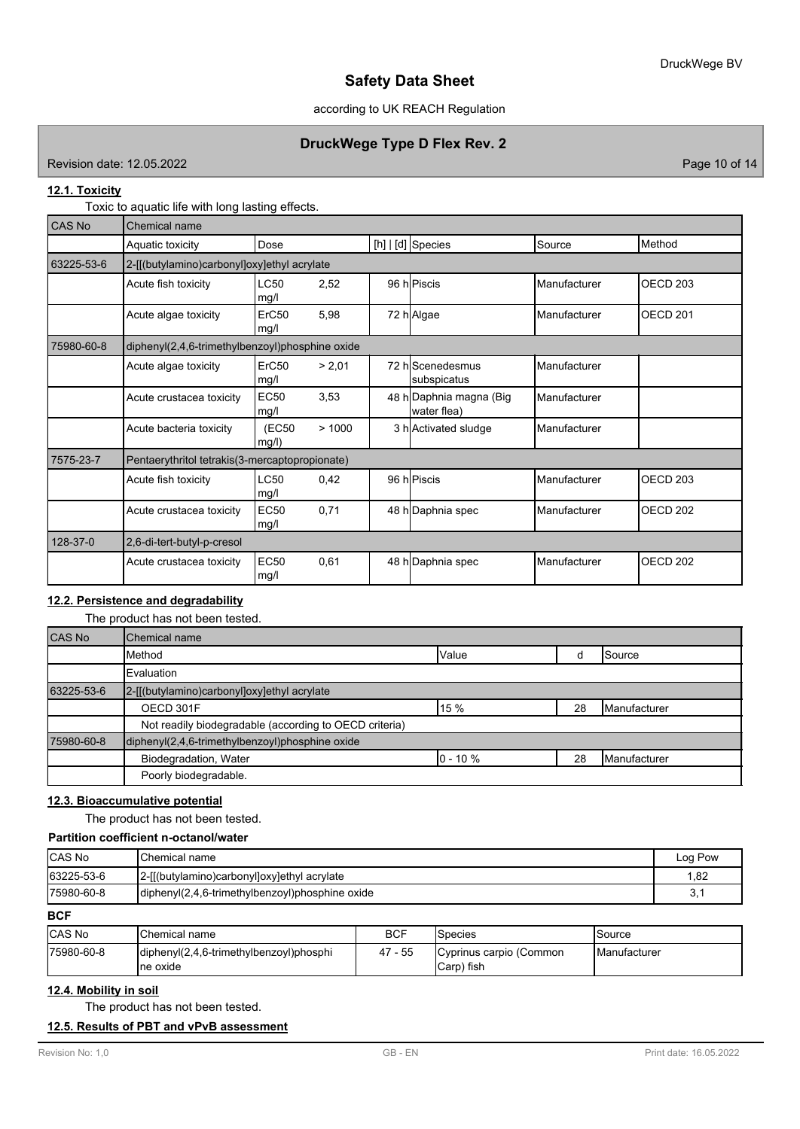according to UK REACH Regulation

## **DruckWege Type D Flex Rev. 2**

Revision date: 12.05.2022 **Page 10 of 14** 

### **12.1. Toxicity**

Toxic to aquatic life with long lasting effects.

| CAS No     | Chemical name                                   |                     |        |  |                                        |                       |                 |  |
|------------|-------------------------------------------------|---------------------|--------|--|----------------------------------------|-----------------------|-----------------|--|
|            | Aquatic toxicity                                | Dose                |        |  | $[h]   [d]$ Species                    | Source                | Method          |  |
| 63225-53-6 | 2-[[(butylamino)carbonyl]oxy]ethyl acrylate     |                     |        |  |                                        |                       |                 |  |
|            | Acute fish toxicity                             | <b>LC50</b><br>mg/l | 2,52   |  | 96 hPiscis                             | Manufacturer          | <b>OECD 203</b> |  |
|            | Acute algae toxicity                            | ErC50<br>mg/l       | 5,98   |  | 72 h Algae                             | Manufacturer          | <b>OECD 201</b> |  |
| 75980-60-8 | diphenyl(2,4,6-trimethylbenzoyl)phosphine oxide |                     |        |  |                                        |                       |                 |  |
|            | Acute algae toxicity                            | ErC50<br>mg/l       | > 2.01 |  | 72 hlScenedesmus<br>subspicatus        | <b>I</b> Manufacturer |                 |  |
|            | Acute crustacea toxicity                        | <b>EC50</b><br>mg/l | 3,53   |  | 48 h Daphnia magna (Big<br>water flea) | Manufacturer          |                 |  |
|            | Acute bacteria toxicity                         | (EC50<br>mg/l)      | >1000  |  | 3 h Activated sludge                   | <b>Manufacturer</b>   |                 |  |
| 7575-23-7  | Pentaerythritol tetrakis(3-mercaptopropionate)  |                     |        |  |                                        |                       |                 |  |
|            | Acute fish toxicity                             | LC50<br>mg/l        | 0,42   |  | 96 hPiscis                             | Manufacturer          | <b>OECD 203</b> |  |
|            | Acute crustacea toxicity                        | <b>EC50</b><br>mg/l | 0,71   |  | 48 h Daphnia spec                      | lManufacturer         | <b>OECD 202</b> |  |
| 128-37-0   | 2,6-di-tert-butyl-p-cresol                      |                     |        |  |                                        |                       |                 |  |
|            | Acute crustacea toxicity                        | EC50<br>mg/l        | 0,61   |  | 48 h Daphnia spec                      | <b>Manufacturer</b>   | OECD 202        |  |

## **12.2. Persistence and degradability**

The product has not been tested.

| <b>CAS No</b> | <b>Chemical name</b>                                   |              |    |                       |
|---------------|--------------------------------------------------------|--------------|----|-----------------------|
|               | Method                                                 | <b>Value</b> |    | <b>I</b> Source       |
|               | Evaluation                                             |              |    |                       |
| 63225-53-6    | 2-[[(butylamino)carbonyl]oxy]ethyl acrylate            |              |    |                       |
|               | OECD 301F                                              | l 15 %       | 28 | <b>I</b> Manufacturer |
|               | Not readily biodegradable (according to OECD criteria) |              |    |                       |
| 75980-60-8    | diphenyl(2,4,6-trimethylbenzoyl)phosphine oxide        |              |    |                       |
|               | Biodegradation, Water                                  | $0 - 10 \%$  | 28 | <b>Manufacturer</b>   |
|               | Poorly biodegradable.                                  |              |    |                       |

## **12.3. Bioaccumulative potential**

The product has not been tested.

## **Partition coefficient n-octanol/water**

| <b>CAS No</b> | <b>I</b> Chemical name                          | Log Pow |
|---------------|-------------------------------------------------|---------|
| 63225-53-6    | [2-[[(butylamino)carbonyl]oxy]ethyl acrylate    | .82     |
| 175980-60-8   | diphenyl(2,4,6-trimethylbenzoyl)phosphine oxide | ູບ.     |

**BCF**

| <b>CAS No</b> | <b>Chemical name</b>                                                                       | BCF     | <b>Species</b>                        | Source               |
|---------------|--------------------------------------------------------------------------------------------|---------|---------------------------------------|----------------------|
| 75980-60-8    | $\left  \text{diphenyl}(2,4,6\text{-trimethylbenzoyl})\text{phosphi} \right $<br>Ine oxide | 47 - 55 | Cyprinus carpio (Common<br>Carp) fish | <b>IManufacturer</b> |

## **12.4. Mobility in soil**

The product has not been tested.

### **12.5. Results of PBT and vPvB assessment**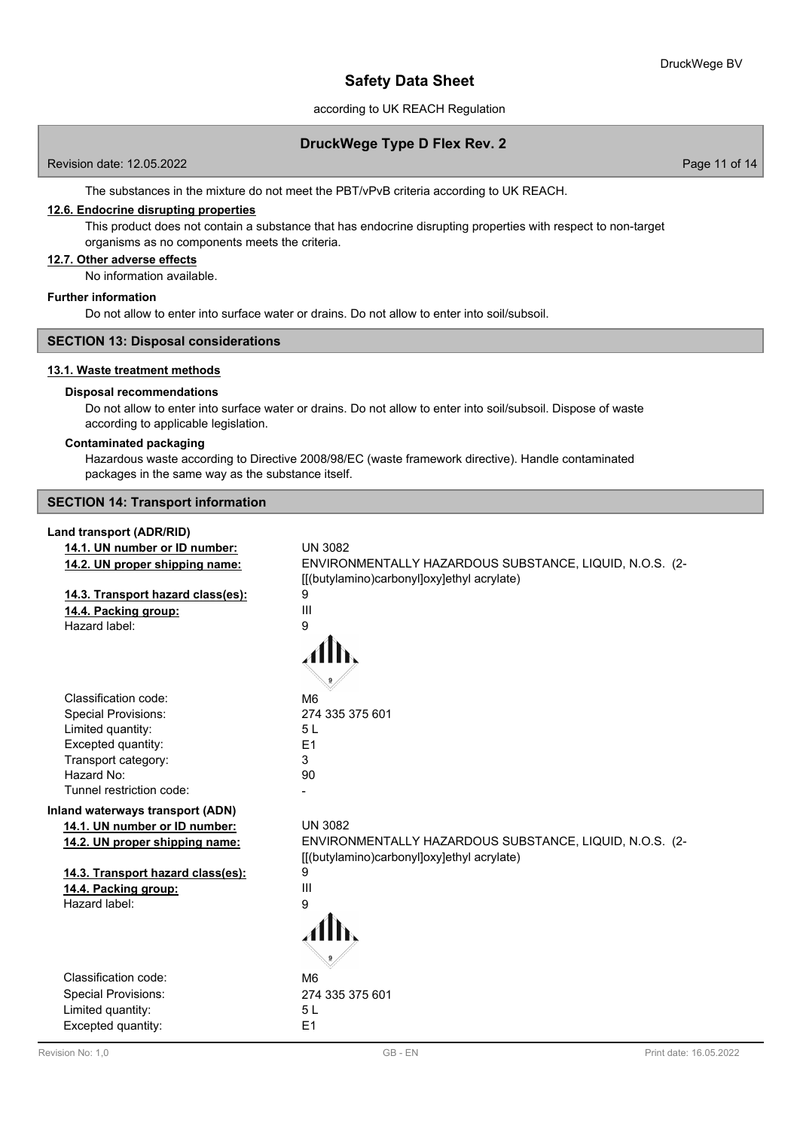according to UK REACH Regulation

### **DruckWege Type D Flex Rev. 2**

Revision date: 12.05.2022 Page 11 of 14

The substances in the mixture do not meet the PBT/vPvB criteria according to UK REACH.

### **12.6. Endocrine disrupting properties**

This product does not contain a substance that has endocrine disrupting properties with respect to non-target organisms as no components meets the criteria.

### **12.7. Other adverse effects**

No information available.

#### **Further information**

Do not allow to enter into surface water or drains. Do not allow to enter into soil/subsoil.

### **SECTION 13: Disposal considerations**

### **13.1. Waste treatment methods**

#### **Disposal recommendations**

Do not allow to enter into surface water or drains. Do not allow to enter into soil/subsoil. Dispose of waste according to applicable legislation.

#### **Contaminated packaging**

Hazardous waste according to Directive 2008/98/EC (waste framework directive). Handle contaminated packages in the same way as the substance itself.

**SECTION 14: Transport information**

### **Land transport (ADR/RID)**

| 14.1. UN number or ID number:     | <b>UN 3082</b>                                          |
|-----------------------------------|---------------------------------------------------------|
| 14.2. UN proper shipping name:    | ENVIRONMENTALLY HAZARDOUS SUBSTANCE, LIQUID, N.O.S. (2- |
|                                   | [[(butylamino)carbonyl]oxy]ethyl acrylate)              |
| 14.3. Transport hazard class(es): | 9                                                       |
| 14.4. Packing group:              | III                                                     |
| Hazard label:                     | 9                                                       |
|                                   |                                                         |
|                                   |                                                         |
|                                   |                                                         |
| Classification code:              | M <sub>6</sub>                                          |
| <b>Special Provisions:</b>        | 274 335 375 601                                         |
| Limited quantity:                 | 5L                                                      |
| Excepted quantity:                | E1                                                      |
| Transport category:               | 3                                                       |
| Hazard No:                        | 90                                                      |
| Tunnel restriction code:          |                                                         |
| Inland waterways transport (ADN)  |                                                         |
| 14.1. UN number or ID number:     | <b>UN 3082</b>                                          |
| 14.2. UN proper shipping name:    | ENVIRONMENTALLY HAZARDOUS SUBSTANCE, LIQUID, N.O.S. (2- |
|                                   | [[(butylamino)carbonyl]oxy]ethyl acrylate)              |
| 14.3. Transport hazard class(es): | 9                                                       |
| 14.4. Packing group:              | Ш                                                       |
| Hazard label:                     | 9                                                       |
|                                   |                                                         |
|                                   |                                                         |
|                                   |                                                         |
| Classification code:              | M <sub>6</sub>                                          |
| <b>Special Provisions:</b>        | 274 335 375 601                                         |
| Limited quantity:                 | 5L                                                      |
| Excepted quantity:                | E1                                                      |
|                                   |                                                         |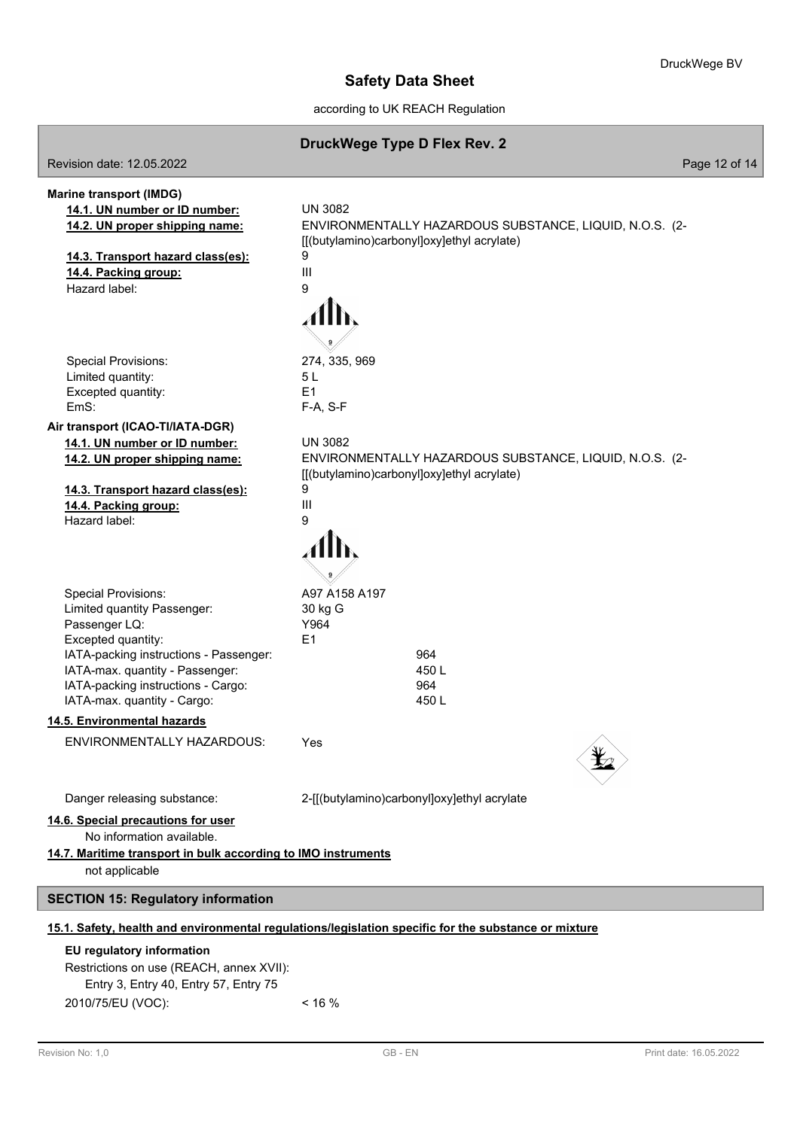according to UK REACH Regulation

|                                                                                                                                                                                                                                                    | DruckWege Type D Flex Rev. 2                                                                                                                        |               |
|----------------------------------------------------------------------------------------------------------------------------------------------------------------------------------------------------------------------------------------------------|-----------------------------------------------------------------------------------------------------------------------------------------------------|---------------|
| Revision date: 12.05.2022                                                                                                                                                                                                                          |                                                                                                                                                     | Page 12 of 14 |
| <b>Marine transport (IMDG)</b><br>14.1. UN number or ID number:<br>14.2. UN proper shipping name:<br>14.3. Transport hazard class(es):<br>14.4. Packing group:<br>Hazard label:                                                                    | <b>UN 3082</b><br>ENVIRONMENTALLY HAZARDOUS SUBSTANCE, LIQUID, N.O.S. (2-<br>[[(butylamino)carbonyl]oxy]ethyl acrylate)<br>9<br>Ш<br>9              |               |
| <b>Special Provisions:</b><br>Limited quantity:<br>Excepted quantity:<br>EmS:                                                                                                                                                                      | 274, 335, 969<br>5 L<br>E1<br>F-A, S-F                                                                                                              |               |
| Air transport (ICAO-TI/IATA-DGR)<br>14.1. UN number or ID number:<br>14.2. UN proper shipping name:<br>14.3. Transport hazard class(es):<br>14.4. Packing group:<br>Hazard label:                                                                  | <b>UN 3082</b><br>ENVIRONMENTALLY HAZARDOUS SUBSTANCE, LIQUID, N.O.S. (2-<br>[[(butylamino)carbonyl]oxy]ethyl acrylate)<br>9<br>$\mathbf{III}$<br>9 |               |
| <b>Special Provisions:</b><br>Limited quantity Passenger:<br>Passenger LQ:<br>Excepted quantity:<br>IATA-packing instructions - Passenger:<br>IATA-max. quantity - Passenger:<br>IATA-packing instructions - Cargo:<br>IATA-max. quantity - Cargo: | A97 A158 A197<br>30 kg G<br>Y964<br>E1<br>964<br>450L<br>964<br>450L                                                                                |               |
| 14.5. Environmental hazards                                                                                                                                                                                                                        |                                                                                                                                                     |               |
| ENVIRONMENTALLY HAZARDOUS:                                                                                                                                                                                                                         | Yes                                                                                                                                                 |               |
| Danger releasing substance:<br>14.6. Special precautions for user<br>No information available.<br>14.7. Maritime transport in bulk according to IMO instruments<br>not applicable                                                                  | 2-[[(butylamino)carbonyl]oxy]ethyl acrylate                                                                                                         |               |
| <b>SECTION 15: Regulatory information</b>                                                                                                                                                                                                          |                                                                                                                                                     |               |
|                                                                                                                                                                                                                                                    | 15.1. Safety, health and environmental regulations/legislation specific for the substance or mixture                                                |               |
| EU regulatory information<br>Restrictions on use (REACH, annex XVII):<br>Entry 3, Entry 40, Entry 57, Entry 75                                                                                                                                     |                                                                                                                                                     |               |

I

2010/75/EU (VOC): < 16 %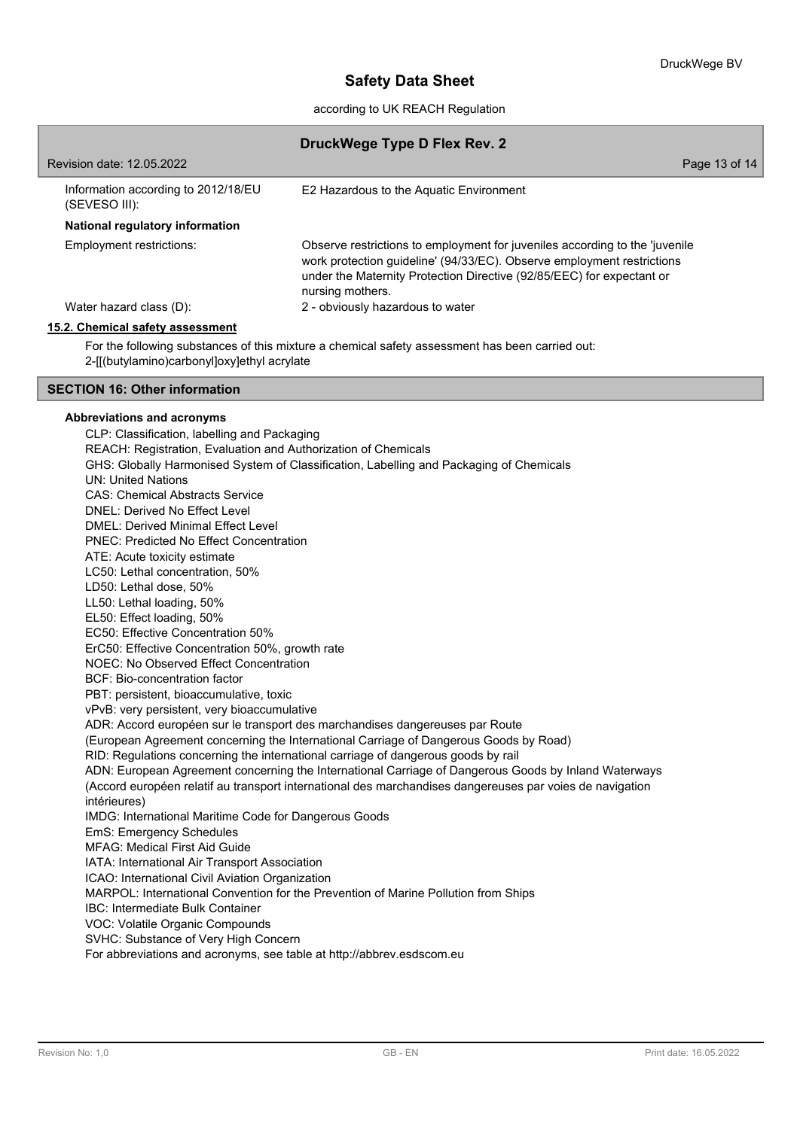according to UK REACH Regulation

|                                                      | DruckWege Type D Flex Rev. 2                                                                                                                                                                                                                       |
|------------------------------------------------------|----------------------------------------------------------------------------------------------------------------------------------------------------------------------------------------------------------------------------------------------------|
| Revision date: 12.05.2022                            | Page 13 of 14                                                                                                                                                                                                                                      |
| Information according to 2012/18/EU<br>(SEVESO III): | E2 Hazardous to the Aquatic Environment                                                                                                                                                                                                            |
| National regulatory information                      |                                                                                                                                                                                                                                                    |
| Employment restrictions:                             | Observe restrictions to employment for juveniles according to the 'juvenile<br>work protection guideline' (94/33/EC). Observe employment restrictions<br>under the Maternity Protection Directive (92/85/EEC) for expectant or<br>nursing mothers. |
| Water hazard class (D):                              | 2 - obviously hazardous to water                                                                                                                                                                                                                   |
| 15.2. Chemical safety assessment                     |                                                                                                                                                                                                                                                    |
|                                                      | For the following substances of this mixture a chemical safety assessment has been carried out:                                                                                                                                                    |

2-[[(butylamino)carbonyl]oxy]ethyl acrylate

### **SECTION 16: Other information**

#### **Abbreviations and acronyms**

CLP: Classification, labelling and Packaging REACH: Registration, Evaluation and Authorization of Chemicals GHS: Globally Harmonised System of Classification, Labelling and Packaging of Chemicals UN: United Nations CAS: Chemical Abstracts Service DNEL: Derived No Effect Level DMEL: Derived Minimal Effect Level PNEC: Predicted No Effect Concentration ATE: Acute toxicity estimate LC50: Lethal concentration, 50% LD50: Lethal dose, 50% LL50: Lethal loading, 50% EL50: Effect loading, 50% EC50: Effective Concentration 50% ErC50: Effective Concentration 50%, growth rate NOEC: No Observed Effect Concentration BCF: Bio-concentration factor PBT: persistent, bioaccumulative, toxic vPvB: very persistent, very bioaccumulative ADR: Accord européen sur le transport des marchandises dangereuses par Route (European Agreement concerning the International Carriage of Dangerous Goods by Road) RID: Regulations concerning the international carriage of dangerous goods by rail ADN: European Agreement concerning the International Carriage of Dangerous Goods by Inland Waterways (Accord européen relatif au transport international des marchandises dangereuses par voies de navigation intérieures) IMDG: International Maritime Code for Dangerous Goods EmS: Emergency Schedules MFAG: Medical First Aid Guide IATA: International Air Transport Association ICAO: International Civil Aviation Organization MARPOL: International Convention for the Prevention of Marine Pollution from Ships IBC: Intermediate Bulk Container VOC: Volatile Organic Compounds SVHC: Substance of Very High Concern

For abbreviations and acronyms, see table at http://abbrev.esdscom.eu